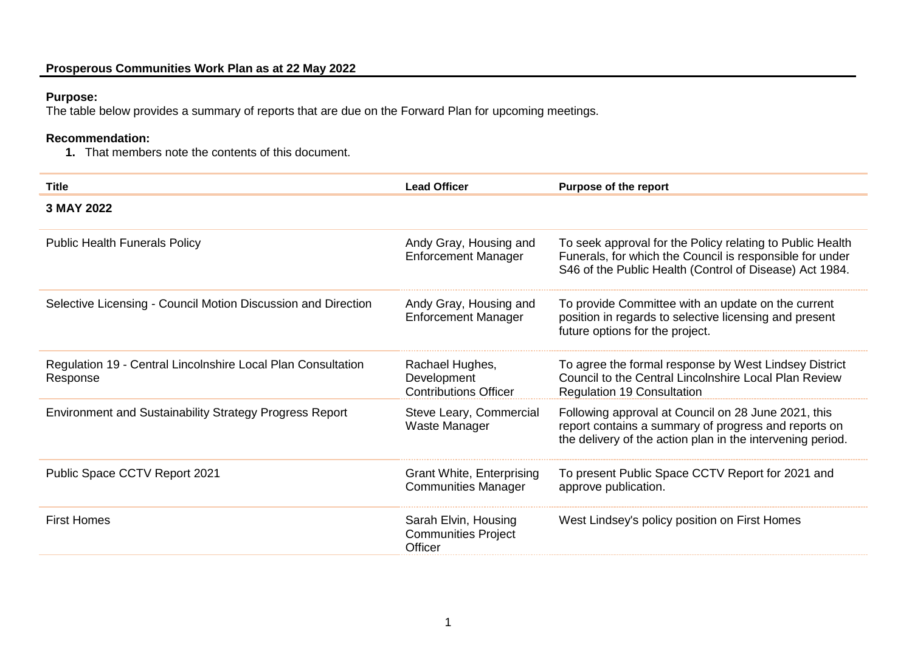## **Purpose:**

The table below provides a summary of reports that are due on the Forward Plan for upcoming meetings.

## **Recommendation:**

**1.** That members note the contents of this document.

| <b>Title</b>                                                             | <b>Lead Officer</b>                                            | Purpose of the report                                                                                                                                                            |
|--------------------------------------------------------------------------|----------------------------------------------------------------|----------------------------------------------------------------------------------------------------------------------------------------------------------------------------------|
| 3 MAY 2022                                                               |                                                                |                                                                                                                                                                                  |
| <b>Public Health Funerals Policy</b>                                     | Andy Gray, Housing and<br><b>Enforcement Manager</b>           | To seek approval for the Policy relating to Public Health<br>Funerals, for which the Council is responsible for under<br>S46 of the Public Health (Control of Disease) Act 1984. |
| Selective Licensing - Council Motion Discussion and Direction            | Andy Gray, Housing and<br><b>Enforcement Manager</b>           | To provide Committee with an update on the current<br>position in regards to selective licensing and present<br>future options for the project.                                  |
| Regulation 19 - Central Lincolnshire Local Plan Consultation<br>Response | Rachael Hughes,<br>Development<br><b>Contributions Officer</b> | To agree the formal response by West Lindsey District<br>Council to the Central Lincolnshire Local Plan Review<br><b>Regulation 19 Consultation</b>                              |
| <b>Environment and Sustainability Strategy Progress Report</b>           | Steve Leary, Commercial<br>Waste Manager                       | Following approval at Council on 28 June 2021, this<br>report contains a summary of progress and reports on<br>the delivery of the action plan in the intervening period.        |
| Public Space CCTV Report 2021                                            | <b>Grant White, Enterprising</b><br><b>Communities Manager</b> | To present Public Space CCTV Report for 2021 and<br>approve publication.                                                                                                         |
| <b>First Homes</b>                                                       | Sarah Elvin, Housing<br><b>Communities Project</b><br>Officer  | West Lindsey's policy position on First Homes                                                                                                                                    |